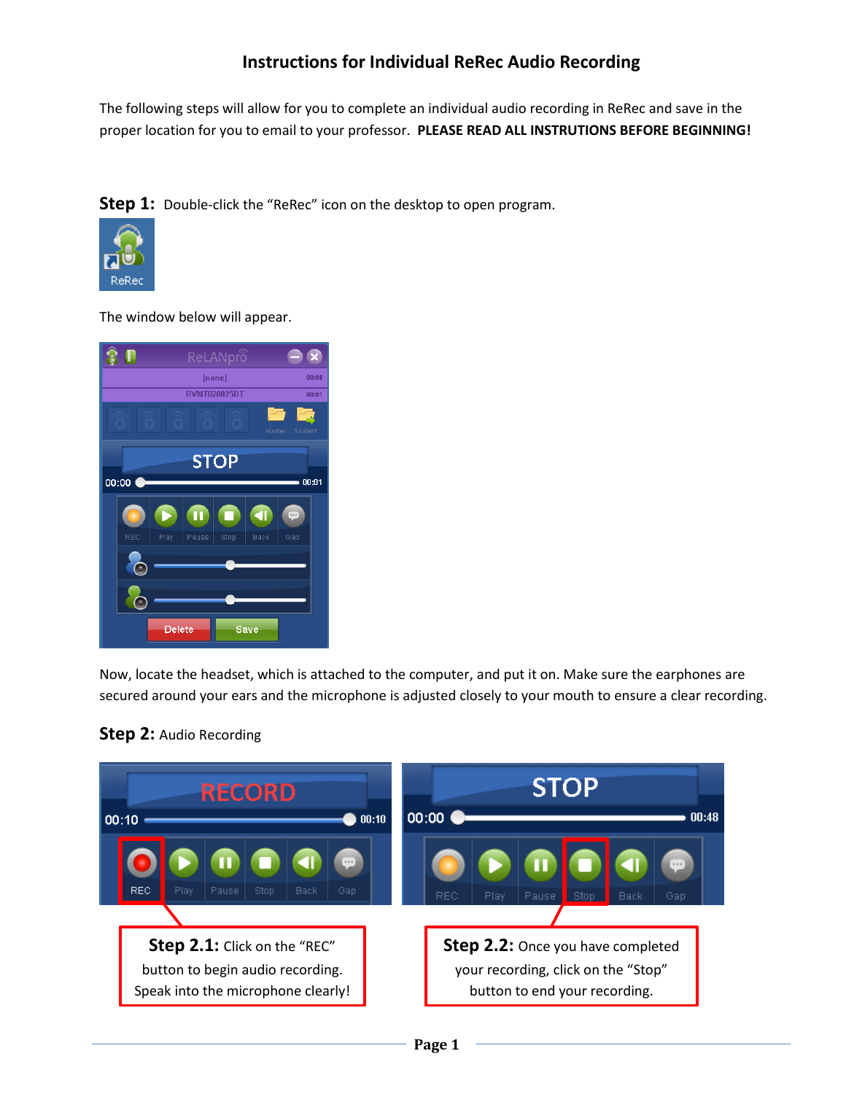## **Instructions for Individual ReRec Audio Recording**

The following steps will allow for you to complete an individual audio recording in ReRec and save in the proper location for you to email to your professor. **PLEASE READ ALL INSTRUTIONS BEFORE BEGINNING!**

**Step 1:** Double-click the "ReRec" icon on the desktop to open program.



The window below will appear.



Now, locate the headset, which is attached to the computer, and put it on. Make sure the earphones are secured around your ears and the microphone is adjusted closely to your mouth to ensure a clear recording.



## **Step 2:** Audio Recording